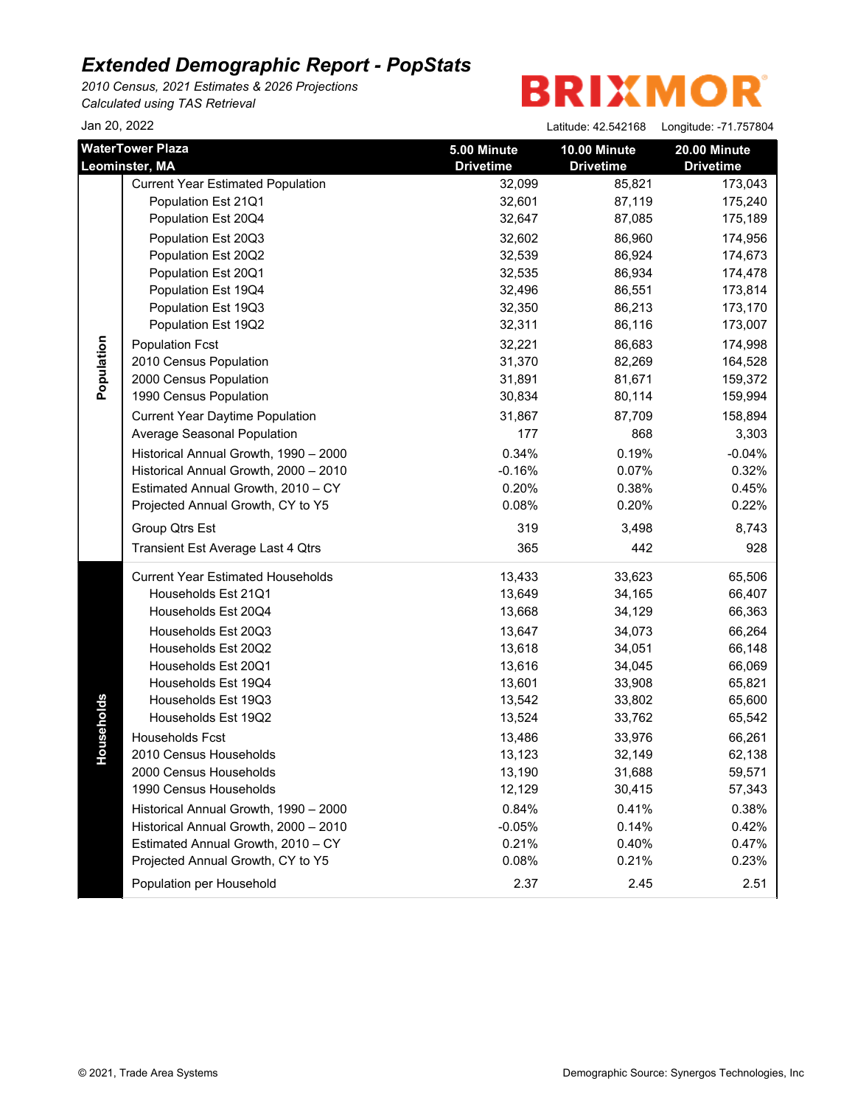*2010 Census, 2021 Estimates & 2026 Projections Calculated using TAS Retrieval*

Jan 20, 2022 Latitude: 42.542168 Longitude: -71.757804

| Jali ZU, ZUZZ                             |                                          |                                 | Latitude: 42.542168              | Longitude: -71.757804            |
|-------------------------------------------|------------------------------------------|---------------------------------|----------------------------------|----------------------------------|
| <b>WaterTower Plaza</b><br>Leominster, MA |                                          | 5.00 Minute<br><b>Drivetime</b> | 10.00 Minute<br><b>Drivetime</b> | 20.00 Minute<br><b>Drivetime</b> |
|                                           | <b>Current Year Estimated Population</b> | 32,099                          | 85,821                           | 173,043                          |
|                                           | Population Est 21Q1                      | 32,601                          | 87,119                           | 175,240                          |
|                                           | Population Est 20Q4                      | 32,647                          | 87,085                           | 175,189                          |
|                                           | Population Est 20Q3                      | 32,602                          | 86,960                           | 174,956                          |
|                                           | Population Est 20Q2                      | 32,539                          | 86,924                           | 174,673                          |
|                                           | Population Est 20Q1                      | 32,535                          | 86,934                           | 174,478                          |
|                                           | Population Est 19Q4                      | 32,496                          | 86,551                           | 173,814                          |
|                                           | Population Est 19Q3                      | 32,350                          | 86,213                           | 173,170                          |
|                                           | Population Est 19Q2                      | 32,311                          | 86,116                           | 173,007                          |
| Population                                | <b>Population Fcst</b>                   | 32,221                          | 86,683                           | 174,998                          |
|                                           | 2010 Census Population                   | 31,370                          | 82,269                           | 164,528                          |
|                                           | 2000 Census Population                   | 31,891                          | 81,671                           | 159,372                          |
|                                           | 1990 Census Population                   | 30,834                          | 80,114                           | 159,994                          |
|                                           | <b>Current Year Daytime Population</b>   | 31,867                          | 87,709                           | 158,894                          |
|                                           | Average Seasonal Population              | 177                             | 868                              | 3,303                            |
|                                           | Historical Annual Growth, 1990 - 2000    | 0.34%                           | 0.19%                            | $-0.04%$                         |
|                                           | Historical Annual Growth, 2000 - 2010    | $-0.16%$                        | 0.07%                            | 0.32%                            |
|                                           | Estimated Annual Growth, 2010 - CY       | 0.20%                           | 0.38%                            | 0.45%                            |
|                                           | Projected Annual Growth, CY to Y5        | 0.08%                           | 0.20%                            | 0.22%                            |
|                                           | Group Qtrs Est                           | 319                             | 3,498                            | 8,743                            |
|                                           | Transient Est Average Last 4 Qtrs        | 365                             | 442                              | 928                              |
|                                           | <b>Current Year Estimated Households</b> | 13,433                          | 33,623                           | 65,506                           |
|                                           | Households Est 21Q1                      | 13,649                          | 34,165                           | 66,407                           |
|                                           | Households Est 20Q4                      | 13,668                          | 34,129                           | 66,363                           |
|                                           | Households Est 20Q3                      | 13,647                          | 34,073                           | 66,264                           |
|                                           | Households Est 20Q2                      | 13,618                          | 34,051                           | 66,148                           |
|                                           | Households Est 20Q1                      | 13,616                          | 34,045                           | 66,069                           |
|                                           | Households Est 19Q4                      | 13,601                          | 33,908                           | 65,821                           |
|                                           | Households Est 19Q3                      | 13,542                          | 33,802                           | 65,600                           |
| puseholds                                 | Households Est 19Q2                      | 13,524                          | 33,762                           | 65,542                           |
|                                           | <b>Households Fcst</b>                   | 13,486                          | 33,976                           | 66,261                           |
| ř                                         | 2010 Census Households                   | 13,123                          | 32,149                           | 62,138                           |
|                                           | 2000 Census Households                   | 13,190                          | 31,688                           | 59,571                           |
|                                           | 1990 Census Households                   | 12,129                          | 30,415                           | 57,343                           |
|                                           | Historical Annual Growth, 1990 - 2000    | 0.84%                           | 0.41%                            | 0.38%                            |
|                                           | Historical Annual Growth, 2000 - 2010    | $-0.05%$                        | 0.14%                            | 0.42%                            |
|                                           | Estimated Annual Growth, 2010 - CY       | 0.21%                           | 0.40%                            | 0.47%                            |
|                                           | Projected Annual Growth, CY to Y5        | 0.08%                           | 0.21%                            | 0.23%                            |
|                                           | Population per Household                 | 2.37                            | 2.45                             | 2.51                             |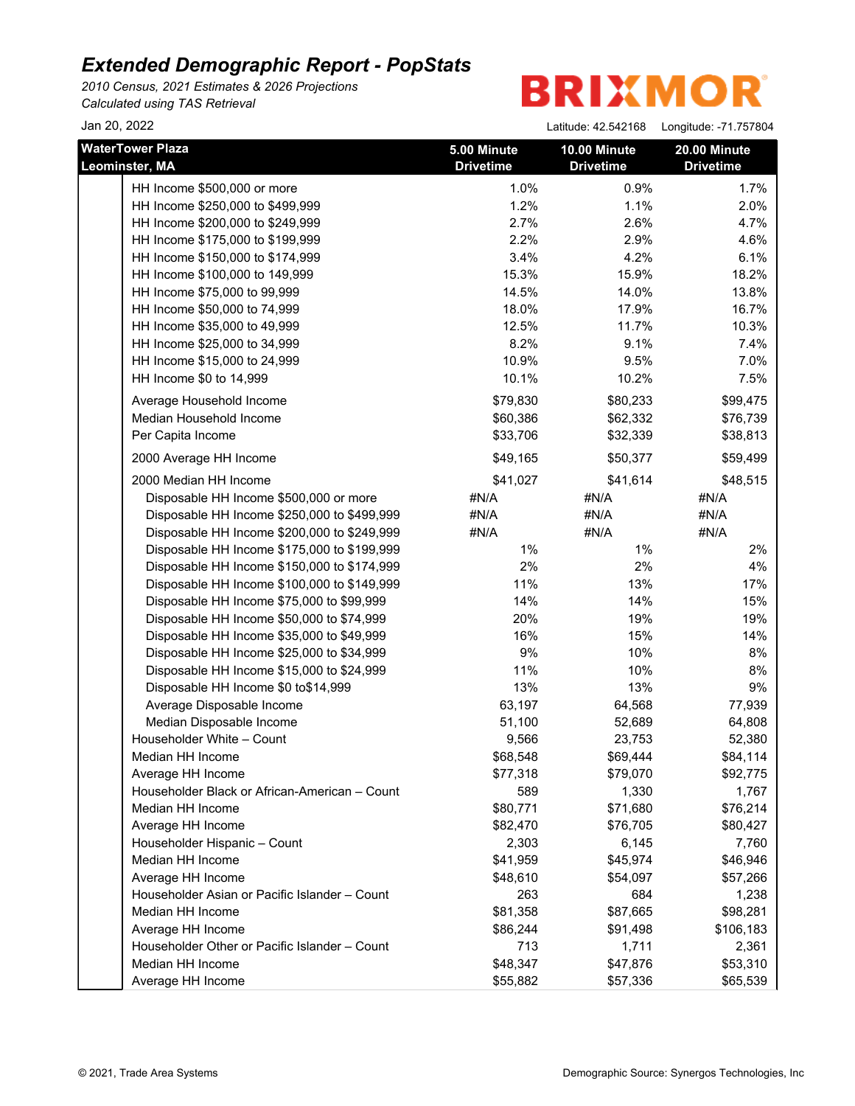*2010 Census, 2021 Estimates & 2026 Projections Calculated using TAS Retrieval*

**BRIXMOR** 

Jan 20, 2022 Latitude: 42.542168 Longitude: -71.757804

| <b>WaterTower Plaza</b><br>Leominster, MA     | 5.00 Minute<br><b>Drivetime</b> | 10.00 Minute<br><b>Drivetime</b> | 20.00 Minute<br><b>Drivetime</b> |
|-----------------------------------------------|---------------------------------|----------------------------------|----------------------------------|
| HH Income \$500,000 or more                   | 1.0%                            | 0.9%                             | 1.7%                             |
| HH Income \$250,000 to \$499,999              | 1.2%                            | 1.1%                             | 2.0%                             |
| HH Income \$200,000 to \$249,999              | 2.7%                            | 2.6%                             | 4.7%                             |
| HH Income \$175,000 to \$199,999              | 2.2%                            | 2.9%                             | 4.6%                             |
| HH Income \$150,000 to \$174,999              | 3.4%                            | 4.2%                             | 6.1%                             |
| HH Income \$100,000 to 149,999                | 15.3%                           | 15.9%                            | 18.2%                            |
| HH Income \$75,000 to 99,999                  | 14.5%                           | 14.0%                            | 13.8%                            |
| HH Income \$50,000 to 74,999                  | 18.0%                           | 17.9%                            | 16.7%                            |
| HH Income \$35,000 to 49,999                  | 12.5%                           | 11.7%                            | 10.3%                            |
| HH Income \$25,000 to 34,999                  | 8.2%                            | 9.1%                             | 7.4%                             |
| HH Income \$15,000 to 24,999                  | 10.9%                           | 9.5%                             | 7.0%                             |
| HH Income \$0 to 14,999                       | 10.1%                           | 10.2%                            | 7.5%                             |
| Average Household Income                      | \$79,830                        | \$80,233                         | \$99,475                         |
| Median Household Income                       | \$60,386                        | \$62,332                         | \$76,739                         |
| Per Capita Income                             | \$33,706                        | \$32,339                         | \$38,813                         |
| 2000 Average HH Income                        | \$49,165                        | \$50,377                         | \$59,499                         |
| 2000 Median HH Income                         | \$41,027                        | \$41,614                         | \$48,515                         |
| Disposable HH Income \$500,000 or more        | #N/A                            | #N/A                             | #N/A                             |
| Disposable HH Income \$250,000 to \$499,999   | #N/A                            | #N/A                             | #N/A                             |
| Disposable HH Income \$200,000 to \$249,999   | #N/A                            | #N/A                             | #N/A                             |
| Disposable HH Income \$175,000 to \$199,999   | 1%                              | $1\%$                            | 2%                               |
| Disposable HH Income \$150,000 to \$174,999   | 2%                              | 2%                               | 4%                               |
| Disposable HH Income \$100,000 to \$149,999   | 11%                             | 13%                              | 17%                              |
| Disposable HH Income \$75,000 to \$99,999     | 14%                             | 14%                              | 15%                              |
| Disposable HH Income \$50,000 to \$74,999     | 20%                             | 19%                              | 19%                              |
| Disposable HH Income \$35,000 to \$49,999     | 16%                             | 15%                              | 14%                              |
| Disposable HH Income \$25,000 to \$34,999     | 9%                              | 10%                              | $8%$                             |
| Disposable HH Income \$15,000 to \$24,999     | 11%                             | 10%                              | 8%                               |
| Disposable HH Income \$0 to\$14,999           | 13%                             | 13%                              | 9%                               |
| Average Disposable Income                     | 63,197                          | 64,568                           | 77,939                           |
| Median Disposable Income                      | 51,100                          | 52,689                           | 64,808                           |
| Householder White - Count                     | 9,566                           | 23,753                           | 52,380                           |
| Median HH Income                              | \$68,548                        | \$69,444                         | \$84,114                         |
| Average HH Income                             | \$77,318                        | \$79,070                         | \$92,775                         |
| Householder Black or African-American - Count | 589                             | 1,330                            | 1,767                            |
| Median HH Income                              | \$80,771                        | \$71,680                         | \$76,214                         |
| Average HH Income                             | \$82,470                        | \$76,705                         | \$80,427                         |
| Householder Hispanic - Count                  | 2,303                           | 6,145                            | 7,760                            |
| Median HH Income                              | \$41,959                        | \$45,974                         | \$46,946                         |
| Average HH Income                             | \$48,610                        | \$54,097                         | \$57,266                         |
| Householder Asian or Pacific Islander - Count | 263                             | 684                              | 1,238                            |
| Median HH Income                              | \$81,358                        | \$87,665                         | \$98,281                         |
| Average HH Income                             | \$86,244                        | \$91,498                         | \$106,183                        |
| Householder Other or Pacific Islander - Count | 713                             | 1,711                            | 2,361                            |
| Median HH Income                              | \$48,347                        | \$47,876                         | \$53,310                         |
| Average HH Income                             | \$55,882                        | \$57,336                         | \$65,539                         |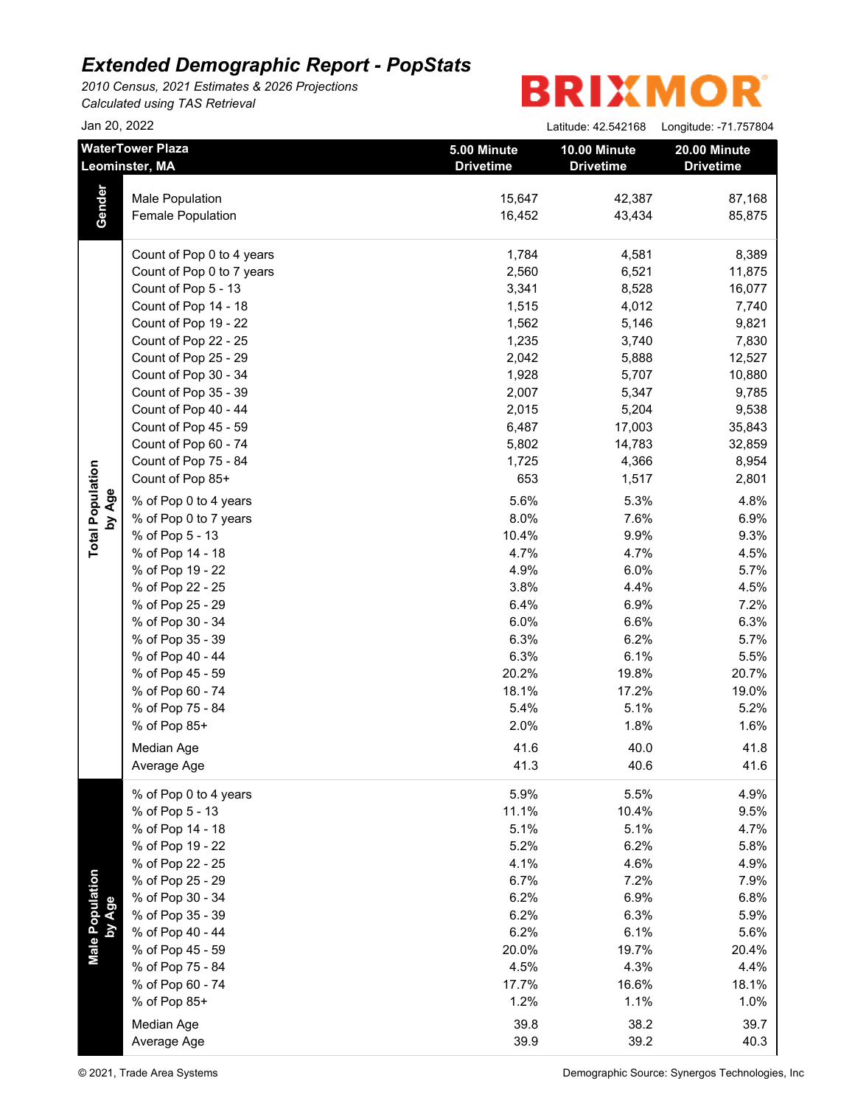*2010 Census, 2021 Estimates & 2026 Projections Calculated using TAS Retrieval*

| Jan 20, 2022                      |                                                                                                                                              |                                                    | Latitude: 42.542168                                | Longitude: -71.757804                                          |
|-----------------------------------|----------------------------------------------------------------------------------------------------------------------------------------------|----------------------------------------------------|----------------------------------------------------|----------------------------------------------------------------|
|                                   | <b>WaterTower Plaza</b><br><b>Leominster, MA</b>                                                                                             | 5.00 Minute<br><b>Drivetime</b>                    | 10.00 Minute<br><b>Drivetime</b>                   | 20.00 Minute<br><b>Drivetime</b>                               |
| Gender                            | <b>Male Population</b><br>Female Population                                                                                                  | 15,647<br>16,452                                   | 42,387<br>43,434                                   | 87,168<br>85,875                                               |
|                                   | Count of Pop 0 to 4 years<br>Count of Pop 0 to 7 years<br>Count of Pop 5 - 13<br>Count of Pop 14 - 18                                        | 1,784<br>2,560<br>3,341<br>1,515                   | 4,581<br>6,521<br>8,528<br>4,012                   | 8,389<br>11,875<br>16,077<br>7,740                             |
|                                   | Count of Pop 19 - 22<br>Count of Pop 22 - 25<br>Count of Pop 25 - 29<br>Count of Pop 30 - 34<br>Count of Pop 35 - 39<br>Count of Pop 40 - 44 | 1,562<br>1,235<br>2,042<br>1,928<br>2,007<br>2,015 | 5,146<br>3,740<br>5,888<br>5,707<br>5,347<br>5,204 | 9,821<br>7,830<br>12,527<br>10,880<br>9,785<br>9,538           |
|                                   | Count of Pop 45 - 59<br>Count of Pop 60 - 74<br>Count of Pop 75 - 84<br>Count of Pop 85+<br>% of Pop 0 to 4 years                            | 6,487<br>5,802<br>1,725<br>653<br>5.6%             | 17,003<br>14,783<br>4,366<br>1,517<br>5.3%         | 35,843<br>32,859<br>8,954<br>2,801<br>4.8%                     |
| <b>Total Population</b><br>by Age | % of Pop 0 to 7 years<br>% of Pop 5 - 13<br>% of Pop 14 - 18<br>% of Pop 19 - 22<br>% of Pop 22 - 25                                         | 8.0%<br>10.4%<br>4.7%<br>4.9%<br>3.8%              | 7.6%<br>9.9%<br>4.7%<br>6.0%<br>4.4%               | 6.9%<br>9.3%<br>4.5%<br>5.7%<br>4.5%                           |
|                                   | % of Pop 25 - 29<br>% of Pop 30 - 34<br>% of Pop 35 - 39<br>% of Pop 40 - 44<br>% of Pop 45 - 59                                             | 6.4%<br>6.0%<br>6.3%<br>6.3%<br>20.2%              | 6.9%<br>6.6%<br>6.2%<br>6.1%<br>19.8%              | 7.2%<br>6.3%<br>5.7%<br>5.5%<br>20.7%                          |
|                                   | % of Pop 60 - 74<br>% of Pop 75 - 84<br>% of Pop 85+<br>Median Age<br>Average Age                                                            | 18.1%<br>5.4%<br>2.0%<br>41.6<br>41.3              | 17.2%<br>5.1%<br>1.8%<br>40.0<br>40.6              | 19.0%<br>5.2%<br>1.6%<br>41.8<br>41.6                          |
|                                   | % of Pop 0 to 4 years<br>% of Pop 5 - 13<br>% of Pop 14 - 18<br>% of Pop 19 - 22                                                             | 5.9%<br>11.1%<br>5.1%<br>5.2%                      | 5.5%<br>10.4%<br>5.1%<br>6.2%                      | 4.9%<br>9.5%<br>4.7%<br>5.8%                                   |
| Male Population<br>by Age         | % of Pop 22 - 25<br>% of Pop 25 - 29<br>% of Pop 30 - 34<br>% of Pop 35 - 39<br>% of Pop 40 - 44                                             | 4.1%<br>6.7%<br>6.2%<br>6.2%<br>6.2%               | 4.6%<br>7.2%<br>6.9%<br>6.3%<br>6.1%               | 4.9%<br>7.9%<br>6.8%<br>5.9%                                   |
|                                   | % of Pop 45 - 59<br>% of Pop 75 - 84<br>% of Pop 60 - 74<br>% of Pop 85+                                                                     | 20.0%<br>4.5%<br>17.7%<br>1.2%                     | 19.7%<br>4.3%<br>16.6%<br>1.1%                     | 5.6%<br>20.4%<br>4.4%<br>18.1%<br>1.0%                         |
|                                   | Median Age<br>Average Age<br>© 2021, Trade Area Systems                                                                                      | 39.8<br>39.9                                       | 38.2<br>39.2                                       | 39.7<br>40.3<br>Demographic Source: Synergos Technologies, Inc |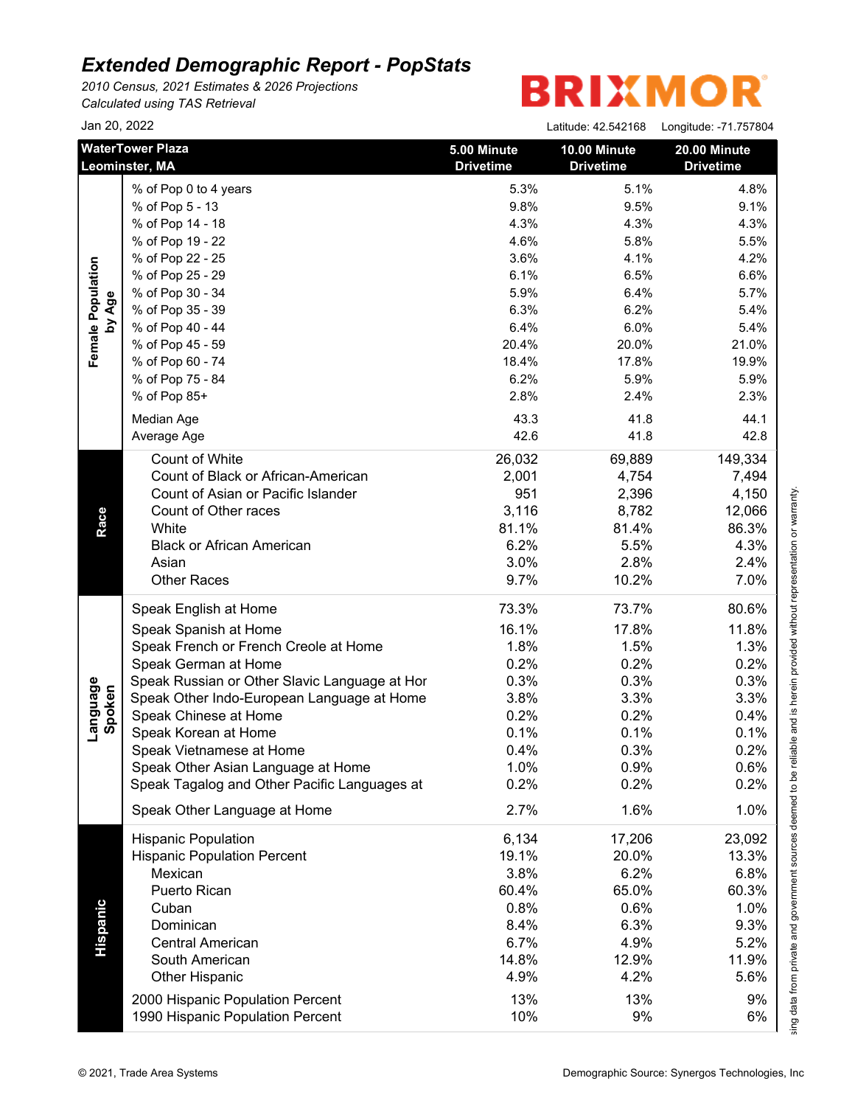*2010 Census, 2021 Estimates & 2026 Projections Calculated using TAS Retrieval*

|                    | Jan 20, 2022                                  |                                 | Latitude: 42.542168    Longitude: -71.757804 |                                  |
|--------------------|-----------------------------------------------|---------------------------------|----------------------------------------------|----------------------------------|
|                    | <b>WaterTower Plaza</b><br>Leominster, MA     | 5.00 Minute<br><b>Drivetime</b> | 10.00 Minute<br><b>Drivetime</b>             | 20.00 Minute<br><b>Drivetime</b> |
|                    | % of Pop 0 to 4 years                         | 5.3%                            | 5.1%                                         | 4.8%                             |
|                    | % of Pop 5 - 13                               | 9.8%                            | 9.5%                                         | 9.1%                             |
|                    | % of Pop 14 - 18                              | 4.3%                            | 4.3%                                         | 4.3%                             |
|                    | % of Pop 19 - 22                              | 4.6%                            | 5.8%                                         | 5.5%                             |
|                    | % of Pop 22 - 25                              | 3.6%                            | 4.1%                                         | 4.2%                             |
|                    | % of Pop 25 - 29                              | 6.1%                            | 6.5%                                         | 6.6%                             |
|                    | % of Pop 30 - 34                              | 5.9%                            | 6.4%                                         | 5.7%                             |
| by Age             | % of Pop 35 - 39                              | 6.3%                            | 6.2%                                         | 5.4%                             |
|                    | % of Pop 40 - 44                              | 6.4%                            | 6.0%                                         | 5.4%                             |
|                    | % of Pop 45 - 59                              | 20.4%                           | 20.0%                                        | 21.0%                            |
|                    | % of Pop 60 - 74                              | 18.4%                           | 17.8%                                        | 19.9%                            |
|                    | % of Pop 75 - 84                              | 6.2%                            | 5.9%                                         | 5.9%                             |
|                    | % of Pop 85+                                  | 2.8%                            | 2.4%                                         | 2.3%                             |
|                    | Median Age                                    | 43.3                            | 41.8                                         | 44.1                             |
|                    | Average Age                                   | 42.6                            | 41.8                                         | 42.8                             |
|                    | Count of White                                |                                 |                                              |                                  |
|                    | Count of Black or African-American            | 26,032<br>2,001                 | 69,889<br>4,754                              | 149,334<br>7,494                 |
|                    | Count of Asian or Pacific Islander            | 951                             | 2,396                                        |                                  |
|                    |                                               |                                 |                                              | 4,150                            |
|                    | Count of Other races<br>White                 | 3,116                           | 8,782                                        | 12,066                           |
| Race               |                                               | 81.1%                           | 81.4%                                        | 86.3%                            |
|                    | <b>Black or African American</b>              | 6.2%                            | 5.5%                                         | 4.3%                             |
|                    | Asian                                         | 3.0%                            | 2.8%                                         | 2.4%                             |
|                    | <b>Other Races</b>                            | 9.7%                            | 10.2%                                        | 7.0%                             |
|                    | Speak English at Home                         | 73.3%                           | 73.7%                                        | 80.6%                            |
|                    | Speak Spanish at Home                         | 16.1%                           | 17.8%                                        | 11.8%                            |
|                    | Speak French or French Creole at Home         | 1.8%                            | 1.5%                                         | 1.3%                             |
|                    | Speak German at Home                          | 0.2%                            | 0.2%                                         | 0.2%                             |
|                    | Speak Russian or Other Slavic Language at Hor | 0.3%                            | 0.3%                                         | 0.3%                             |
|                    | Speak Other Indo-European Language at Home    | 3.8%                            | 3.3%                                         | 3.3%                             |
| Language<br>Spoken | Speak Chinese at Home                         | 0.2%                            | 0.2%                                         | 0.4%                             |
|                    | Speak Korean at Home                          | 0.1%                            | 0.1%                                         | 0.1%                             |
|                    | Speak Vietnamese at Home                      | 0.4%                            | 0.3%                                         | 0.2%                             |
|                    | Speak Other Asian Language at Home            | 1.0%                            | 0.9%                                         | 0.6%                             |
|                    | Speak Tagalog and Other Pacific Languages at  | 0.2%                            | 0.2%                                         | 0.2%                             |
|                    | Speak Other Language at Home                  | 2.7%                            | 1.6%                                         | 1.0%                             |
|                    | <b>Hispanic Population</b>                    | 6,134                           | 17,206                                       | 23,092                           |
|                    | <b>Hispanic Population Percent</b>            | 19.1%                           | 20.0%                                        | 13.3%                            |
|                    | Mexican                                       | 3.8%                            | 6.2%                                         | 6.8%                             |
|                    | Puerto Rican                                  | 60.4%                           | 65.0%                                        | 60.3%                            |
|                    | Cuban                                         | 0.8%                            | 0.6%                                         | 1.0%                             |
|                    | Dominican                                     | 8.4%                            | 6.3%                                         | 9.3%                             |
|                    | <b>Central American</b>                       | 6.7%                            | 4.9%                                         | 5.2%                             |
| Hispanic           | South American                                | 14.8%                           | 12.9%                                        | 11.9%                            |
|                    |                                               | 4.9%                            | 4.2%                                         | 5.6%                             |
|                    | <b>Other Hispanic</b>                         |                                 |                                              |                                  |
|                    | 2000 Hispanic Population Percent              | 13%                             | 13%                                          | 9%                               |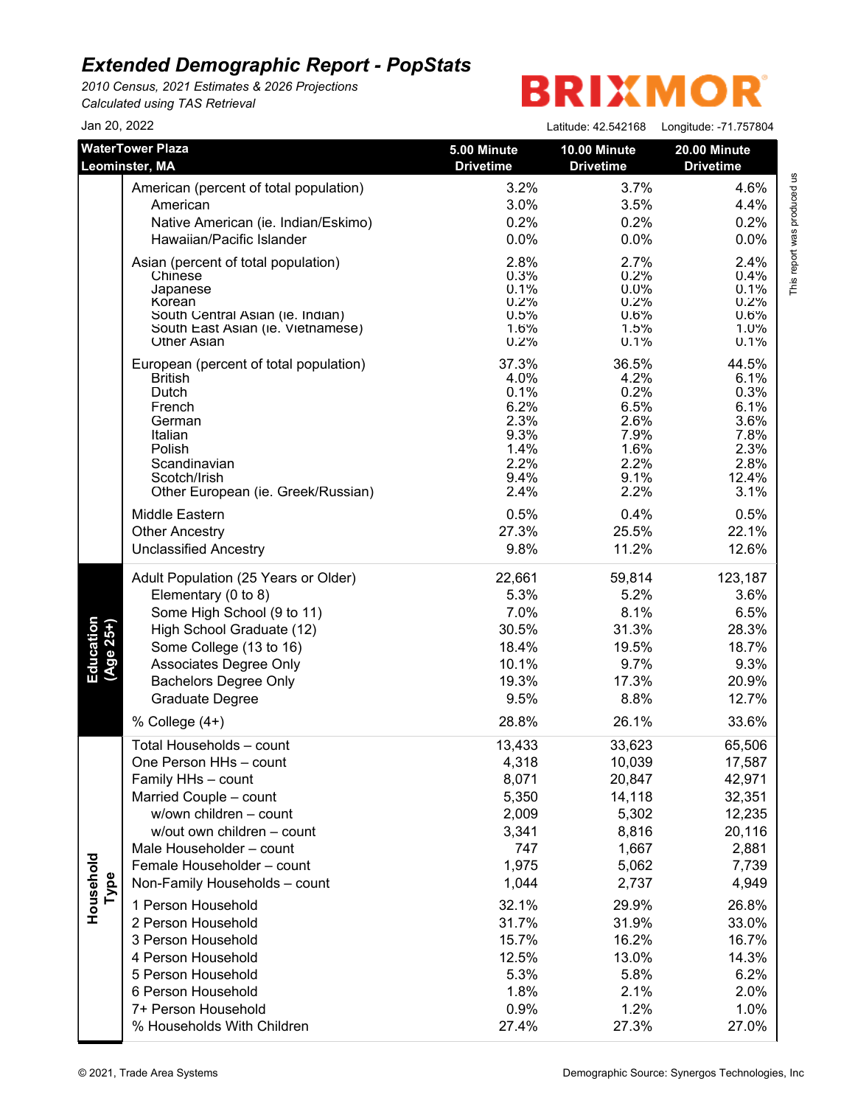*2010 Census, 2021 Estimates & 2026 Projections Calculated using TAS Retrieval*

| Jan 20, 2022           |                                                                                                                                                                                                                                                                                                                                                                                                                                                |                                                                                                                                                   | Latitude: 42.542168                                                                                                                                    | Longitude: -71.757804                                                                                                                                    |
|------------------------|------------------------------------------------------------------------------------------------------------------------------------------------------------------------------------------------------------------------------------------------------------------------------------------------------------------------------------------------------------------------------------------------------------------------------------------------|---------------------------------------------------------------------------------------------------------------------------------------------------|--------------------------------------------------------------------------------------------------------------------------------------------------------|----------------------------------------------------------------------------------------------------------------------------------------------------------|
|                        | <b>WaterTower Plaza</b>                                                                                                                                                                                                                                                                                                                                                                                                                        | 5.00 Minute                                                                                                                                       | 10.00 Minute                                                                                                                                           | 20.00 Minute                                                                                                                                             |
|                        | Leominster, MA                                                                                                                                                                                                                                                                                                                                                                                                                                 | <b>Drivetime</b>                                                                                                                                  | <b>Drivetime</b>                                                                                                                                       | <b>Drivetime</b>                                                                                                                                         |
|                        | American (percent of total population)                                                                                                                                                                                                                                                                                                                                                                                                         | 3.2%                                                                                                                                              | 3.7%                                                                                                                                                   | 4.6%                                                                                                                                                     |
|                        | American                                                                                                                                                                                                                                                                                                                                                                                                                                       | 3.0%                                                                                                                                              | 3.5%                                                                                                                                                   | 4.4%                                                                                                                                                     |
|                        | Native American (ie. Indian/Eskimo)                                                                                                                                                                                                                                                                                                                                                                                                            | 0.2%                                                                                                                                              | 0.2%                                                                                                                                                   | 0.2%                                                                                                                                                     |
|                        | Hawaiian/Pacific Islander                                                                                                                                                                                                                                                                                                                                                                                                                      | 0.0%                                                                                                                                              | 0.0%                                                                                                                                                   | 0.0%                                                                                                                                                     |
|                        | Asian (percent of total population)                                                                                                                                                                                                                                                                                                                                                                                                            | 2.8%                                                                                                                                              | 2.7%                                                                                                                                                   | 2.4%                                                                                                                                                     |
|                        | Chinese                                                                                                                                                                                                                                                                                                                                                                                                                                        | 0.3%                                                                                                                                              | 0.2%                                                                                                                                                   | 0.4%                                                                                                                                                     |
|                        | Japanese                                                                                                                                                                                                                                                                                                                                                                                                                                       | 0.1%                                                                                                                                              | $0.0\%$                                                                                                                                                | 0.1%                                                                                                                                                     |
|                        | Korean                                                                                                                                                                                                                                                                                                                                                                                                                                         | 0.2%                                                                                                                                              | 0.2%                                                                                                                                                   | 0.2%                                                                                                                                                     |
|                        | South Central Asian (ie. Indian)                                                                                                                                                                                                                                                                                                                                                                                                               | 0.5%                                                                                                                                              | 0.6%                                                                                                                                                   | 0.6%                                                                                                                                                     |
|                        | South East Asian (ie. Vietnamese)                                                                                                                                                                                                                                                                                                                                                                                                              | 1.6%                                                                                                                                              | 1.5%                                                                                                                                                   | 1.0%                                                                                                                                                     |
|                        | <b>Other Asian</b>                                                                                                                                                                                                                                                                                                                                                                                                                             | 0.2%                                                                                                                                              | 0.1%                                                                                                                                                   | 0.1%                                                                                                                                                     |
|                        | European (percent of total population)                                                                                                                                                                                                                                                                                                                                                                                                         | 37.3%                                                                                                                                             | 36.5%                                                                                                                                                  | 44.5%                                                                                                                                                    |
|                        | <b>British</b>                                                                                                                                                                                                                                                                                                                                                                                                                                 | 4.0%                                                                                                                                              | 4.2%                                                                                                                                                   | 6.1%                                                                                                                                                     |
|                        | Dutch                                                                                                                                                                                                                                                                                                                                                                                                                                          | 0.1%                                                                                                                                              | 0.2%                                                                                                                                                   | 0.3%                                                                                                                                                     |
|                        | French                                                                                                                                                                                                                                                                                                                                                                                                                                         | 6.2%                                                                                                                                              | 6.5%                                                                                                                                                   | 6.1%                                                                                                                                                     |
|                        | German                                                                                                                                                                                                                                                                                                                                                                                                                                         | 2.3%                                                                                                                                              | 2.6%                                                                                                                                                   | 3.6%                                                                                                                                                     |
|                        | Italian                                                                                                                                                                                                                                                                                                                                                                                                                                        | 9.3%                                                                                                                                              | 7.9%                                                                                                                                                   | 7.8%                                                                                                                                                     |
|                        | Polish                                                                                                                                                                                                                                                                                                                                                                                                                                         | 1.4%                                                                                                                                              | 1.6%                                                                                                                                                   | 2.3%                                                                                                                                                     |
|                        | Scandinavian                                                                                                                                                                                                                                                                                                                                                                                                                                   | 2.2%                                                                                                                                              | 2.2%                                                                                                                                                   | 2.8%                                                                                                                                                     |
|                        | Scotch/Irish                                                                                                                                                                                                                                                                                                                                                                                                                                   | 9.4%                                                                                                                                              | 9.1%                                                                                                                                                   | 12.4%                                                                                                                                                    |
|                        | Other European (ie. Greek/Russian)                                                                                                                                                                                                                                                                                                                                                                                                             | 2.4%                                                                                                                                              | 2.2%                                                                                                                                                   | 3.1%                                                                                                                                                     |
|                        | Middle Eastern                                                                                                                                                                                                                                                                                                                                                                                                                                 | 0.5%                                                                                                                                              | 0.4%                                                                                                                                                   | 0.5%                                                                                                                                                     |
|                        | <b>Other Ancestry</b>                                                                                                                                                                                                                                                                                                                                                                                                                          | 27.3%                                                                                                                                             | 25.5%                                                                                                                                                  | 22.1%                                                                                                                                                    |
|                        | <b>Unclassified Ancestry</b>                                                                                                                                                                                                                                                                                                                                                                                                                   | 9.8%                                                                                                                                              | 11.2%                                                                                                                                                  | 12.6%                                                                                                                                                    |
| Education<br>(Age 25+) | Adult Population (25 Years or Older)                                                                                                                                                                                                                                                                                                                                                                                                           | 22,661                                                                                                                                            | 59,814                                                                                                                                                 | 123,187                                                                                                                                                  |
|                        | Elementary (0 to 8)                                                                                                                                                                                                                                                                                                                                                                                                                            | 5.3%                                                                                                                                              | 5.2%                                                                                                                                                   | 3.6%                                                                                                                                                     |
|                        | Some High School (9 to 11)                                                                                                                                                                                                                                                                                                                                                                                                                     | 7.0%                                                                                                                                              | 8.1%                                                                                                                                                   | 6.5%                                                                                                                                                     |
|                        | High School Graduate (12)                                                                                                                                                                                                                                                                                                                                                                                                                      | 30.5%                                                                                                                                             | 31.3%                                                                                                                                                  | 28.3%                                                                                                                                                    |
|                        | Some College (13 to 16)                                                                                                                                                                                                                                                                                                                                                                                                                        | 18.4%                                                                                                                                             | 19.5%                                                                                                                                                  | 18.7%                                                                                                                                                    |
|                        | Associates Degree Only                                                                                                                                                                                                                                                                                                                                                                                                                         | 10.1%                                                                                                                                             | 9.7%                                                                                                                                                   | 9.3%                                                                                                                                                     |
|                        | <b>Bachelors Degree Only</b>                                                                                                                                                                                                                                                                                                                                                                                                                   | 19.3%                                                                                                                                             | 17.3%                                                                                                                                                  | 20.9%                                                                                                                                                    |
|                        | <b>Graduate Degree</b>                                                                                                                                                                                                                                                                                                                                                                                                                         | 9.5%                                                                                                                                              | 8.8%                                                                                                                                                   | 12.7%                                                                                                                                                    |
|                        | % College (4+)                                                                                                                                                                                                                                                                                                                                                                                                                                 | 28.8%                                                                                                                                             | 26.1%                                                                                                                                                  | 33.6%                                                                                                                                                    |
| Household<br>Type      | Total Households - count<br>One Person HHs - count<br>Family HHs - count<br>Married Couple - count<br>w/own children - count<br>w/out own children - count<br>Male Householder - count<br>Female Householder - count<br>Non-Family Households - count<br>1 Person Household<br>2 Person Household<br>3 Person Household<br>4 Person Household<br>5 Person Household<br>6 Person Household<br>7+ Person Household<br>% Households With Children | 13,433<br>4,318<br>8,071<br>5,350<br>2,009<br>3,341<br>747<br>1,975<br>1,044<br>32.1%<br>31.7%<br>15.7%<br>12.5%<br>5.3%<br>1.8%<br>0.9%<br>27.4% | 33,623<br>10,039<br>20,847<br>14,118<br>5,302<br>8,816<br>1,667<br>5,062<br>2,737<br>29.9%<br>31.9%<br>16.2%<br>13.0%<br>5.8%<br>2.1%<br>1.2%<br>27.3% | 65,506<br>17,587<br>42,971<br>32,351<br>12,235<br>20,116<br>2,881<br>7,739<br>4,949<br>26.8%<br>33.0%<br>16.7%<br>14.3%<br>6.2%<br>2.0%<br>1.0%<br>27.0% |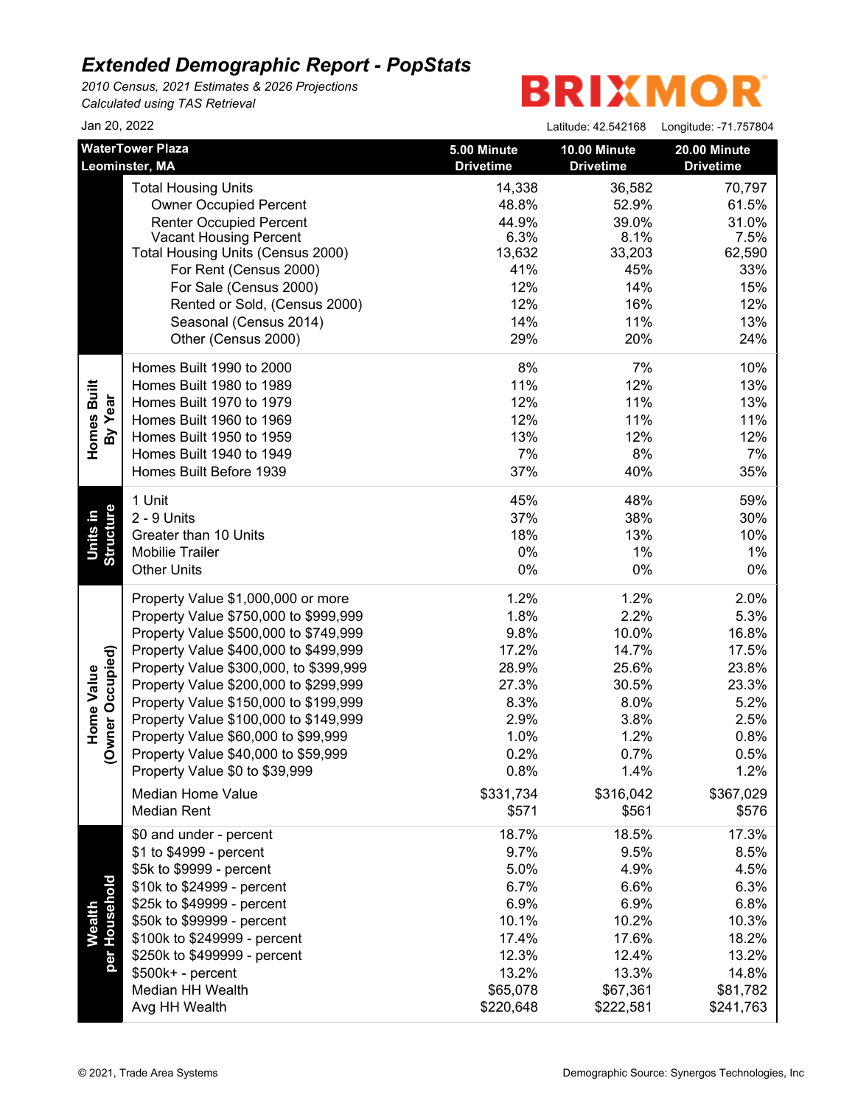*2010 Census, 2021 Estimates & 2026 Projections Calculated using TAS Retrieval*

| Jan 20, 2022            |                                                          |                                 | Latitude: 42.542168              | Longitude: -71.757804            |
|-------------------------|----------------------------------------------------------|---------------------------------|----------------------------------|----------------------------------|
|                         | <b>WaterTower Plaza</b><br>Leominster, MA                | 5.00 Minute<br><b>Drivetime</b> | 10.00 Minute<br><b>Drivetime</b> | 20.00 Minute<br><b>Drivetime</b> |
|                         | <b>Total Housing Units</b>                               | 14,338                          | 36,582                           | 70,797                           |
|                         | <b>Owner Occupied Percent</b>                            | 48.8%                           | 52.9%                            | 61.5%                            |
|                         | <b>Renter Occupied Percent</b>                           | 44.9%                           | 39.0%                            | 31.0%                            |
|                         | <b>Vacant Housing Percent</b>                            | 6.3%                            | 8.1%                             | 7.5%                             |
|                         | Total Housing Units (Census 2000)                        | 13,632                          | 33,203                           | 62,590                           |
|                         | For Rent (Census 2000)                                   | 41%                             | 45%                              | 33%                              |
|                         | For Sale (Census 2000)                                   | 12%                             | 14%                              | 15%                              |
|                         | Rented or Sold, (Census 2000)                            | 12%                             | 16%                              | 12%                              |
|                         | Seasonal (Census 2014)                                   | 14%                             | 11%                              | 13%                              |
|                         | Other (Census 2000)                                      | 29%                             | 20%                              | 24%                              |
|                         | Homes Built 1990 to 2000<br>Homes Built 1980 to 1989     | 8%<br>11%                       | 7%<br>12%                        | 10%<br>13%                       |
|                         | Homes Built 1970 to 1979                                 | 12%                             | 11%                              | 13%                              |
| Homes Built<br>By Year  | Homes Built 1960 to 1969                                 | 12%                             | 11%                              | 11%                              |
|                         | Homes Built 1950 to 1959                                 | 13%                             | 12%                              | 12%                              |
|                         | Homes Built 1940 to 1949                                 | 7%                              | 8%                               | 7%                               |
|                         | Homes Built Before 1939                                  | 37%                             | 40%                              | 35%                              |
|                         | 1 Unit                                                   | 45%                             | 48%                              | 59%                              |
|                         | 2 - 9 Units                                              | 37%                             | 38%                              | 30%                              |
| Structure<br>Units in   | Greater than 10 Units                                    | 18%                             | 13%                              | 10%                              |
|                         | <b>Mobilie Trailer</b>                                   | $0\%$                           | 1%                               | $1\%$                            |
|                         | <b>Other Units</b>                                       | $0\%$                           | 0%                               | 0%                               |
|                         | Property Value \$1,000,000 or more                       | 1.2%                            | 1.2%                             | 2.0%                             |
|                         | Property Value \$750,000 to \$999,999                    | 1.8%                            | 2.2%                             | 5.3%                             |
|                         | Property Value \$500,000 to \$749,999                    | 9.8%                            | 10.0%                            | 16.8%                            |
|                         | Property Value \$400,000 to \$499,999                    | 17.2%                           | 14.7%                            | 17.5%                            |
| Owner Occupied)         | Property Value \$300,000, to \$399,999                   | 28.9%                           | 25.6%                            | 23.8%                            |
| Home Value              | Property Value \$200,000 to \$299,999                    | 27.3%                           | 30.5%                            | 23.3%                            |
|                         | Property Value \$150,000 to \$199,999                    | 8.3%                            | 8.0%                             | 5.2%                             |
|                         | Property Value \$100,000 to \$149,999                    | 2.9%                            | 3.8%                             | 2.5%                             |
|                         | Property Value \$60,000 to \$99,999                      | 1.0%                            | 1.2%                             | 0.8%                             |
|                         | Property Value \$40,000 to \$59,999                      | 0.2%                            | 0.7%                             | 0.5%                             |
|                         | Property Value \$0 to \$39,999                           | 0.8%                            | 1.4%                             | 1.2%                             |
|                         | <b>Median Home Value</b>                                 | \$331,734                       | \$316,042                        | \$367,029                        |
|                         | <b>Median Rent</b>                                       | \$571                           | \$561                            | \$576                            |
|                         | \$0 and under - percent                                  | 18.7%                           | 18.5%                            | 17.3%                            |
|                         | \$1 to \$4999 - percent                                  | 9.7%                            | 9.5%                             | 8.5%                             |
|                         | \$5k to \$9999 - percent                                 | 5.0%                            | 4.9%                             | 4.5%                             |
|                         | \$10k to \$24999 - percent                               | 6.7%<br>6.9%                    | 6.6%<br>6.9%                     | 6.3%<br>6.8%                     |
|                         | \$25k to \$49999 - percent<br>\$50k to \$99999 - percent | 10.1%                           |                                  |                                  |
| per Household<br>Wealth | \$100k to \$249999 - percent                             | 17.4%                           | 10.2%<br>17.6%                   | 10.3%<br>18.2%                   |
|                         | \$250k to \$499999 - percent                             | 12.3%                           | 12.4%                            | 13.2%                            |
|                         | $$500k+ - percent$                                       | 13.2%                           | 13.3%                            | 14.8%                            |
|                         | Median HH Wealth                                         | \$65,078                        | \$67,361                         | \$81,782                         |
|                         | Avg HH Wealth                                            | \$220,648                       | \$222,581                        | \$241,763                        |
|                         |                                                          |                                 |                                  |                                  |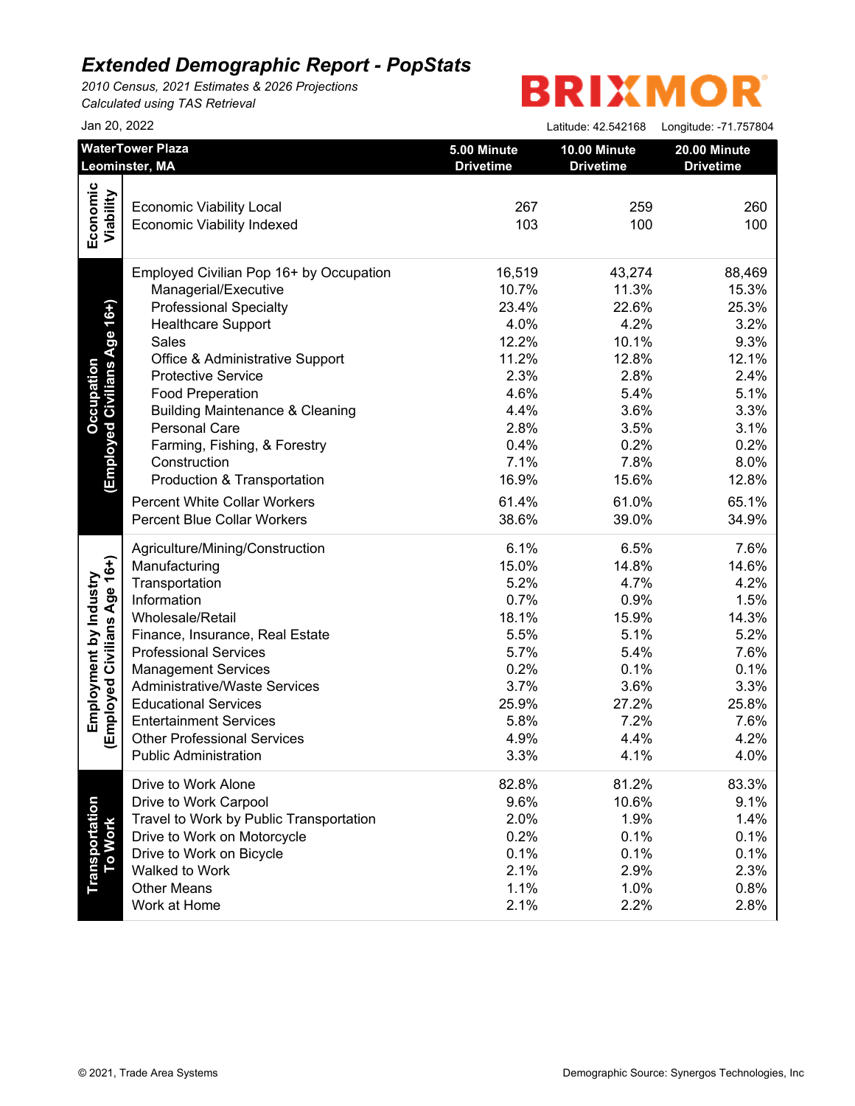*2010 Census, 2021 Estimates & 2026 Projections Calculated using TAS Retrieval*

|                              | Jan 20, 2022                               |                                 | Latitude: 42.542168              | Longitude: -71.757804            |
|------------------------------|--------------------------------------------|---------------------------------|----------------------------------|----------------------------------|
|                              | <b>WaterTower Plaza</b><br>Leominster, MA  | 5.00 Minute<br><b>Drivetime</b> | 10.00 Minute<br><b>Drivetime</b> | 20.00 Minute<br><b>Drivetime</b> |
|                              |                                            |                                 |                                  |                                  |
| Economic<br>Viability        | <b>Economic Viability Local</b>            | 267                             | 259                              | 260                              |
|                              | <b>Economic Viability Indexed</b>          | 103                             | 100                              | 100                              |
|                              |                                            |                                 |                                  |                                  |
|                              | Employed Civilian Pop 16+ by Occupation    | 16,519                          | 43,274                           | 88,469                           |
|                              | Managerial/Executive                       | 10.7%                           | 11.3%                            | 15.3%                            |
| (Employed Civilians Age 16+) | <b>Professional Specialty</b>              | 23.4%                           | 22.6%                            | 25.3%                            |
|                              | <b>Healthcare Support</b>                  | 4.0%                            | 4.2%                             | 3.2%                             |
|                              | Sales                                      | 12.2%                           | 10.1%                            | 9.3%                             |
|                              | Office & Administrative Support            | 11.2%                           | 12.8%                            | 12.1%                            |
|                              | <b>Protective Service</b>                  | 2.3%                            | 2.8%                             | 2.4%                             |
|                              | <b>Food Preperation</b>                    | 4.6%                            | 5.4%                             | 5.1%                             |
|                              | <b>Building Maintenance &amp; Cleaning</b> | 4.4%                            | 3.6%                             | 3.3%                             |
|                              | <b>Personal Care</b>                       | 2.8%                            | 3.5%                             | 3.1%                             |
|                              | Farming, Fishing, & Forestry               | 0.4%                            | 0.2%                             | 0.2%                             |
|                              | Construction                               | 7.1%                            | 7.8%                             | 8.0%                             |
|                              | Production & Transportation                | 16.9%                           | 15.6%                            | 12.8%                            |
|                              | <b>Percent White Collar Workers</b>        | 61.4%                           | 61.0%                            | 65.1%                            |
|                              |                                            |                                 |                                  |                                  |
|                              | <b>Percent Blue Collar Workers</b>         | 38.6%                           | 39.0%                            | 34.9%                            |
|                              | Agriculture/Mining/Construction            | 6.1%                            | 6.5%                             | 7.6%                             |
|                              | Manufacturing                              | 15.0%                           | 14.8%                            | 14.6%                            |
|                              | Transportation                             | 5.2%                            | 4.7%                             | 4.2%                             |
|                              | Information                                | 0.7%                            | 0.9%                             | 1.5%                             |
|                              | Wholesale/Retail                           | 18.1%                           | 15.9%                            | 14.3%                            |
|                              | Finance, Insurance, Real Estate            | 5.5%                            | 5.1%                             | 5.2%                             |
| Employed Civilians Age 16+)  | <b>Professional Services</b>               | 5.7%                            | 5.4%                             | 7.6%                             |
|                              | <b>Management Services</b>                 | 0.2%                            | 0.1%                             | 0.1%                             |
|                              | <b>Administrative/Waste Services</b>       | 3.7%                            | 3.6%                             | 3.3%                             |
|                              | <b>Educational Services</b>                | 25.9%                           | 27.2%                            | 25.8%                            |
|                              | <b>Entertainment Services</b>              | 5.8%                            | 7.2%                             | 7.6%                             |
|                              | <b>Other Professional Services</b>         | 4.9%                            | 4.4%                             | 4.2%                             |
|                              | <b>Public Administration</b>               | 3.3%                            | 4.1%                             | 4.0%                             |
|                              | Drive to Work Alone                        | 82.8%                           | 81.2%                            | 83.3%                            |
|                              | Drive to Work Carpool                      | 9.6%                            | 10.6%                            | 9.1%                             |
|                              | Travel to Work by Public Transportation    | 2.0%                            | 1.9%                             | 1.4%                             |
| <b>To Work</b>               | Drive to Work on Motorcycle                | 0.2%                            | 0.1%                             | 0.1%                             |
|                              | Drive to Work on Bicycle                   | 0.1%                            | 0.1%                             | 0.1%                             |
|                              | Walked to Work                             | 2.1%                            | 2.9%                             | 2.3%                             |
|                              | <b>Other Means</b>                         | 1.1%                            | 1.0%                             | 0.8%                             |
|                              |                                            |                                 | 2.2%                             | 2.8%                             |